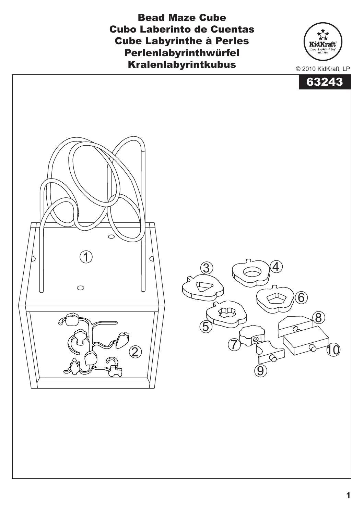Bead Maze Cube Cubo Laberinto de Cuentas Cube Labyrinthe à Perles Perlenlabyrinthwürfel Kralenlabyrintkubus



KidKraft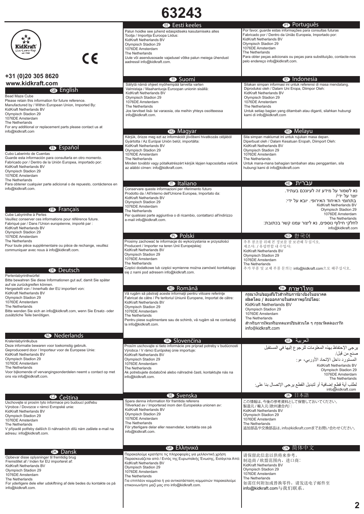| 63243                                                                                                                                                                                                                                                                                                                                                  |                                                                                                                                                                                                                                                                                                                                                        |                                                                                                                                                                                                                                                                                                                                                           |
|--------------------------------------------------------------------------------------------------------------------------------------------------------------------------------------------------------------------------------------------------------------------------------------------------------------------------------------------------------|--------------------------------------------------------------------------------------------------------------------------------------------------------------------------------------------------------------------------------------------------------------------------------------------------------------------------------------------------------|-----------------------------------------------------------------------------------------------------------------------------------------------------------------------------------------------------------------------------------------------------------------------------------------------------------------------------------------------------------|
| ጜ፞ጞ፞<br>KidKraft<br>Live + Learn + Play<br>est. 1968<br>$c\epsilon$                                                                                                                                                                                                                                                                                    | <b>B</b> Eesti keeles<br>Palun hoidke see juhend edaspidiseks kasutamiseks alles<br>Tootja / Importija Euroopa Liidus:<br>KidKraft Netherlands BV<br>Olympisch Stadion 29<br>1076DE Amsterdam<br>The Netherlands<br>Uute või asendusosade vajadusel võtke palun meiega ühendust<br>aadressil info@kidkraft.com.                                        | <b><i>O</i></b> Português<br>Por favor, guarde estas informações para consultas futuras<br>Fabricado por / Dentro da União Europeia, Importado por:<br>KidKraft Netherlands BV<br>Olympisch Stadion 29<br>1076DE Amsterdam<br>The Netherlands<br>Para obter peças adicionais ou peças para substituição, contacte-nos<br>pelo endereço info@kidkraft.com. |
| +31 (0)20 305 8620<br>www.kidkraft.com<br><b>B</b> English<br>Bead Maze Cube<br>Please retain this information for future reference.<br>Manufactured by / Within European Union, Imported By:<br>KidKraft Netherlands BV<br>Olympisch Stadion 29<br>1076DE Amsterdam<br>The Netherlands                                                                | $\mathbf \Theta$ Suomi<br>Säilytä nämä ohjeet myöhempää tarvetta varten<br>Valmistaja / Maahantuoja Euroopan unionin sisällä:<br>KidKraft Netherlands BV<br>Olympisch Stadion 29<br>1076DE Amsterdam<br>The Netherlands<br>Jos tarvitset lisä- tai varaosia, ota meihin yhteys osoitteessa<br>info@kidkraft.com.                                       | <b>I</b> ndonesia<br>Silakan simpan informasi ini untuk referensi di masa mendatang.<br>Diproduksi oleh / Dalam Uni Eropa, Diimpor Oleh:<br>KidKraft Netherlands BV<br>Olympisch Stadion 29<br>1076DE Amsterdam<br>The Netherlands<br>Untuk setiap bagian yang ditambah atau diganti, silahkan hubungi<br>kami di info@kidkraft.com                       |
| For any additional or replacement parts please contact us at<br>info@kidkraft.com<br><b>B</b> Español                                                                                                                                                                                                                                                  | <b>ID</b> Magyar<br>Kérjük, őrizze meg ezt az információt jövőbeni hivatkozás céljából<br>Gyártotta / Az Európai Unión belül, importálta:<br>KidKraft Netherlands BV                                                                                                                                                                                   | <b>B</b> Melayu<br>Sila simpan maklumat ini untuk rujukan masa depan.<br>Diperbuat oleh / Dalam Kesatuan Eropah, Diimport Oleh:<br>KidKraft Netherlands BV                                                                                                                                                                                                |
| Cubo Laberinto de Cuentas<br>Guarde esta información para consultarla en otro momento.<br>Fabricado por / Dentro de la Unión Europea, importado por:<br>KidKraft Netherlands BV<br>Olympisch Stadion 29<br>1076DE Amsterdam<br>The Netherlands<br>Para obtener cualquier parte adicional o de repuesto, contáctenos en<br>info@kidkraft.com.           | Olympisch Stadion 29<br>1076DE Amsterdam<br>The Netherlands<br>Minden további vagy pótalkatrészért kérjük lépjen kapcsolatba velünk<br>az alábbi címen: info@kidkraft.com.<br><b>The Italiano</b><br>Conservare queste informazioni per riferimento futuro<br>Prodotto da / All'interno dell'Unione Europea, Importato da:                             | Olympisch Stadion 29<br>1076DE Amsterdam<br>The Netherlands<br>Untuk mana-mana bahagian tambahan atau penggantian, sila<br>hubungi kami di info@kidkraft.com<br>עברית ⊕<br>נא לשמור על מידע זה לעיונכם בעתיד.                                                                                                                                             |
| <b>B</b> Français<br>Cube Labyrinthe à Perles<br>Veuillez conserver ces informations pour référence future.<br>Fabriqué par / Dans l'Union européenne, importé par :<br>KidKraft Netherlands BV<br>Olympisch Stadion 29<br>1076DE Amsterdam<br>The Netherlands                                                                                         | KidKraft Netherlands BV<br>Olympisch Stadion 29<br>1076DE Amsterdam<br>The Netherlands<br>Per qualsiasi parte aggiuntiva o di ricambio, contattarci all'indirizzo<br>e-mail info@kidkraft.com.<br><b><sup>1</sup></b> Polski<br>Prosimy zachować te informacje do wykorzystania w przyszłości                                                          | יוצר על ידי/<br>בתחומי האיחוד האירופי. יובא על ידי:<br>KidKraft Netherlands BV<br>Olympisch Stadion 29<br>1076DE Amsterdam<br>The Netherlands<br>לחלקי חילוף נוספים, נא ליצור עמנו קשר בכתובת:<br>info@kidkraft.com<br>한국어<br>K()<br>추후 참조를 위해 본 정보를 잘 보관해 두십시오.                                                                                          |
| Pour toute pièce supplémentaire ou pièce de rechange, veuillez<br>communiquer avec nous à info@kidkraft.com.<br><b>B</b> Deutsch<br>Perlenlabyrinthwürfel                                                                                                                                                                                              | Producent / Importer na teren Unii Europejskiej:<br>KidKraft Netherlands BV<br>Olympisch Stadion 29<br>1076DE Amsterdam<br>The Netherlands<br>Części dodatkowe lub części wymienne można zamówić kontaktując<br>się z nami pod adresem info@kidkraft.com.                                                                                              | 제조사: / 유럽연합 내 수입사:<br>KidKraft Netherlands BV<br>Olympisch Stadion 29<br>1076DE Amsterdam<br>The Netherlands<br>추가 부품 및 교체 부품 문의는 info@kidkraft.com으로 해주십시오.                                                                                                                                                                                              |
| Bitte bewahren Sie diese Informationen gut auf, damit Sie später<br>auf sie zurückgreifen können.<br>Hergestellt von / Innerhalb der EU importiert von:<br>KidKraft Netherlands BV<br>Olympisch Stadion 29<br>1076DE Amsterdam<br>The Netherlands<br>Bitte wenden Sie sich an info@kidkraft.com, wenn Sie Ersatz- oder<br>zusätzliche Teile benötigen. | <b>®</b> Română<br>Vă rugăm să păstrați aceste informații pentru viitoare referințe<br>Fabricat de către / Pe teritoriul Uniunii Europene, Importat de către:<br>KidKraft Netherlands BV<br>Olympisch Stadion 29<br>1076DE Amsterdam<br>The Netherlands<br>Pentru piese suplimentare sau de schimb, vă rugăm să ne contactați<br>la info@kidkraft.com. | <b>1</b> ภาษาไทย<br>่ กรณาเก็บขอมลันไวสำหรับการอางอิงในอนาคต<br>ี ผลิตโดย / สงออกภายในสหภาพยโรปโดย:<br>KidKraft Netherlands BV<br>Olympisch Stadion 29<br>1076DE Amsterdam<br>The Netherlands<br>สำหรับการเพิ่มหรือทดแทน์ชินส่วนใด ๆ กรณา๊ดดตอเรา็ท<br>info@kidkraft.com                                                                                  |
| <b>W</b> Nederlands                                                                                                                                                                                                                                                                                                                                    | Slovenčina                                                                                                                                                                                                                                                                                                                                             | العربية ١                                                                                                                                                                                                                                                                                                                                                 |
| Kralenlabyrintkubus<br>Deze informatie bewaren voor toekomstig gebruik.<br>Geproduceerd door / Importeur voor de Europese Unie:<br>KidKraft Netherlands BV<br>Olympisch Stadion 29<br>1076DE Amsterdam<br>The Netherlands<br>Voor bijkomende of vervangingsonderdelen neemt u contact op met<br>ons via info@kidkraft.com.                             | Prosím uschovajte si tieto informácie pre príprad potreby v budúcnosti<br>Výrobca / V rámci Európskej únie importuje:<br>KidKraft Netherlands BV<br>Olympisch Stadion 29<br>1076DE Amsterdam<br>The Netherlands<br>Ak potrebujete dodatočné alebo náhradné časti, kontaktujte nás na<br>info@kidkraft.com.                                             | يرجى الإحتفاظ بهذه المعلومات للرجوع إليها في المستقبل<br>صنع من قبل/<br>ل بود.<br>المستورد داخل الإتحاد الأوربي، مو:<br>KidKraft Netherlands BV<br>Olympisch Stadion 29<br>1076DE Amsterdam<br>The Netherlands<br>لطلب أية قطع إضافية أو لتبديل القطع يرجى الإتصال بنا على:<br>info@kidkraft.com                                                          |
| $\bullet$ Čeština<br>Uschovejte si prosím tyto informace pro budoucí potřebu<br>Výrobce / Dovozce v rámci Evropské unie:<br>KidKraft Netherlands BV<br>Olympisch Stadion 29<br>1076DE Amsterdam<br>The Netherlands<br>V případě potřeby dalších či náhradních dílů nám zašlete e-mail na<br>adresu: info@kidkraft.com.                                 | Svenska<br>Spara denna information för framtida referens<br>Tillverkad av / Importerad inom den Europeiska unionen av:<br>KidKraft Netherlands BV<br>Olympisch Stadion 29<br>1076DE Amsterdam<br>The Netherlands<br>För ytterligare delar eller reservdelar, kontakta oss på<br>info@kidkraft.com.                                                     | 4 日本語<br>この情報は、今後の参考資料として保管しておいてください。<br>製造元 / 輸入元 (欧州連合内):<br>KidKraft Netherlands BV<br>Olympisch Stadion 29<br>1076DE Amsterdam<br>The Netherlands<br>追加部品や交換部品は、info@kidkraft.comまでお問い合わせください。                                                                                                                                                        |
|                                                                                                                                                                                                                                                                                                                                                        | <b>®</b> Ελληνικά                                                                                                                                                                                                                                                                                                                                      | ❶ 简体中文                                                                                                                                                                                                                                                                                                                                                    |
| <b>B</b> Dansk<br>Opbevar disse oplysninger til fremtidig brug<br>Fremstillet af / Inden for EU importeret af:<br>KidKraft Netherlands BV<br>Olympisch Stadion 29<br>1076DE Amsterdam<br>The Netherlands<br>For yderligere dele eller udskiftning af dele bedes du kontakte os på<br>info@kidkraft.com.                                                | Παρακαλούμε κρατήστε τις πληροφορίες για μελλοντική χρήση<br>Παρασκευάζεται από / Εντός της Ευρωπαϊκής Ένωσης, Εισάγεται Από:<br>KidKraft Netherlands BV<br>Olympisch Stadion 29<br>1076DE Amsterdam<br>The Netherlands<br>Για επιπλέον κομμάτια ή για αντικατάσταση κομματιών παρακαλούμε<br>επικοινωνήστε μαζί μας στο info@kidkraft.com.            | 请保留此信息以供将来参考。<br>制造商 / 欧盟范围内, 进口商:<br>KidKraft Netherlands BV<br>Olympisch Stadion 29<br>1076DE Amsterdam<br>The Netherlands<br>如需任何附加或替换零件,请发送电子邮件至<br>info@kidkraft.com与我们联系。                                                                                                                                                                           |
|                                                                                                                                                                                                                                                                                                                                                        |                                                                                                                                                                                                                                                                                                                                                        | 2                                                                                                                                                                                                                                                                                                                                                         |